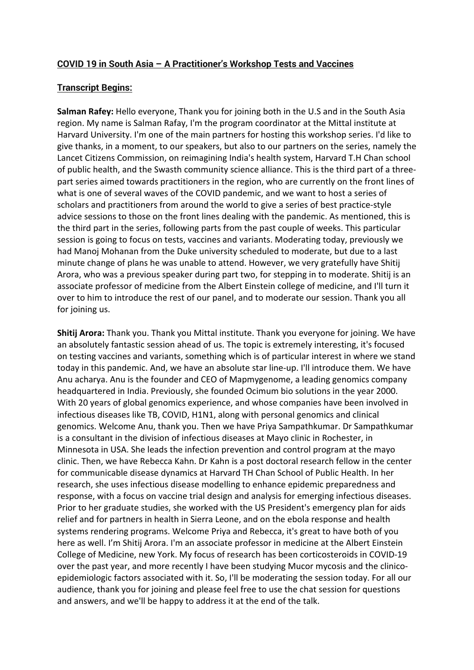## **COVID 19 in South Asia – A Practitioner's Workshop Tests and Vaccines**

# **Transcript Begins:**

**Salman Rafey:** Hello everyone, Thank you for joining both in the U.S and in the South Asia region. My name is Salman Rafay, I'm the program coordinator at the Mittal institute at Harvard University. I'm one of the main partners for hosting this workshop series. I'd like to give thanks, in a moment, to our speakers, but also to our partners on the series, namely the Lancet Citizens Commission, on reimagining India's health system, Harvard T.H Chan school of public health, and the Swasth community science alliance. This is the third part of a threepart series aimed towards practitioners in the region, who are currently on the front lines of what is one of several waves of the COVID pandemic, and we want to host a series of scholars and practitioners from around the world to give a series of best practice-style advice sessions to those on the front lines dealing with the pandemic. As mentioned, this is the third part in the series, following parts from the past couple of weeks. This particular session is going to focus on tests, vaccines and variants. Moderating today, previously we had Manoj Mohanan from the Duke university scheduled to moderate, but due to a last minute change of plans he was unable to attend. However, we very gratefully have Shitij Arora, who was a previous speaker during part two, for stepping in to moderate. Shitij is an associate professor of medicine from the Albert Einstein college of medicine, and I'll turn it over to him to introduce the rest of our panel, and to moderate our session. Thank you all for joining us.

**Shitij Arora:** Thank you. Thank you Mittal institute. Thank you everyone for joining. We have an absolutely fantastic session ahead of us. The topic is extremely interesting, it's focused on testing vaccines and variants, something which is of particular interest in where we stand today in this pandemic. And, we have an absolute star line-up. I'll introduce them. We have Anu acharya. Anu is the founder and CEO of Mapmygenome, a leading genomics company headquartered in India. Previously, she founded Ocimum bio solutions in the year 2000. With 20 years of global genomics experience, and whose companies have been involved in infectious diseases like TB, COVID, H1N1, along with personal genomics and clinical genomics. Welcome Anu, thank you. Then we have Priya Sampathkumar. Dr Sampathkumar is a consultant in the division of infectious diseases at Mayo clinic in Rochester, in Minnesota in USA. She leads the infection prevention and control program at the mayo clinic. Then, we have Rebecca Kahn. Dr Kahn is a post doctoral research fellow in the center for communicable disease dynamics at Harvard TH Chan School of Public Health. In her research, she uses infectious disease modelling to enhance epidemic preparedness and response, with a focus on vaccine trial design and analysis for emerging infectious diseases. Prior to her graduate studies, she worked with the US President's emergency plan for aids relief and for partners in health in Sierra Leone, and on the ebola response and health systems rendering programs. Welcome Priya and Rebecca, it's great to have both of you here as well. I'm Shitij Arora. I'm an associate professor in medicine at the Albert Einstein College of Medicine, new York. My focus of research has been corticosteroids in COVID-19 over the past year, and more recently I have been studying Mucor mycosis and the clinicoepidemiologic factors associated with it. So, I'll be moderating the session today. For all our audience, thank you for joining and please feel free to use the chat session for questions and answers, and we'll be happy to address it at the end of the talk.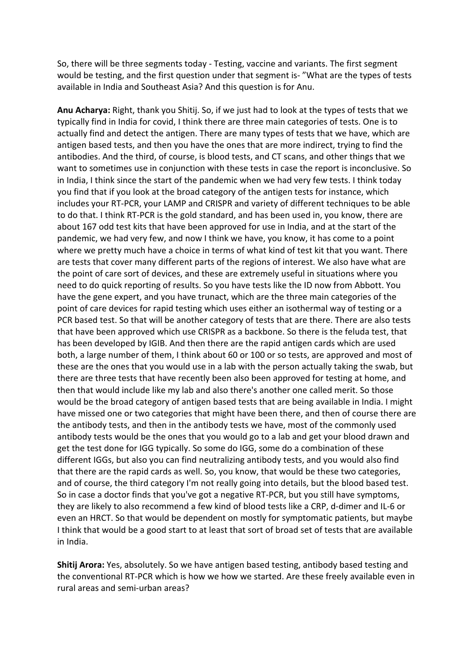So, there will be three segments today - Testing, vaccine and variants. The first segment would be testing, and the first question under that segment is- "What are the types of tests available in India and Southeast Asia? And this question is for Anu.

**Anu Acharya:** Right, thank you Shitij. So, if we just had to look at the types of tests that we typically find in India for covid, I think there are three main categories of tests. One is to actually find and detect the antigen. There are many types of tests that we have, which are antigen based tests, and then you have the ones that are more indirect, trying to find the antibodies. And the third, of course, is blood tests, and CT scans, and other things that we want to sometimes use in conjunction with these tests in case the report is inconclusive. So in India, I think since the start of the pandemic when we had very few tests. I think today you find that if you look at the broad category of the antigen tests for instance, which includes your RT-PCR, your LAMP and CRISPR and variety of different techniques to be able to do that. I think RT-PCR is the gold standard, and has been used in, you know, there are about 167 odd test kits that have been approved for use in India, and at the start of the pandemic, we had very few, and now I think we have, you know, it has come to a point where we pretty much have a choice in terms of what kind of test kit that you want. There are tests that cover many different parts of the regions of interest. We also have what are the point of care sort of devices, and these are extremely useful in situations where you need to do quick reporting of results. So you have tests like the ID now from Abbott. You have the gene expert, and you have trunact, which are the three main categories of the point of care devices for rapid testing which uses either an isothermal way of testing or a PCR based test. So that will be another category of tests that are there. There are also tests that have been approved which use CRISPR as a backbone. So there is the feluda test, that has been developed by IGIB. And then there are the rapid antigen cards which are used both, a large number of them, I think about 60 or 100 or so tests, are approved and most of these are the ones that you would use in a lab with the person actually taking the swab, but there are three tests that have recently been also been approved for testing at home, and then that would include like my lab and also there's another one called merit. So those would be the broad category of antigen based tests that are being available in India. I might have missed one or two categories that might have been there, and then of course there are the antibody tests, and then in the antibody tests we have, most of the commonly used antibody tests would be the ones that you would go to a lab and get your blood drawn and get the test done for IGG typically. So some do IGG, some do a combination of these different IGGs, but also you can find neutralizing antibody tests, and you would also find that there are the rapid cards as well. So, you know, that would be these two categories, and of course, the third category I'm not really going into details, but the blood based test. So in case a doctor finds that you've got a negative RT-PCR, but you still have symptoms, they are likely to also recommend a few kind of blood tests like a CRP, d-dimer and IL-6 or even an HRCT. So that would be dependent on mostly for symptomatic patients, but maybe I think that would be a good start to at least that sort of broad set of tests that are available in India.

**Shitij Arora:** Yes, absolutely. So we have antigen based testing, antibody based testing and the conventional RT-PCR which is how we how we started. Are these freely available even in rural areas and semi-urban areas?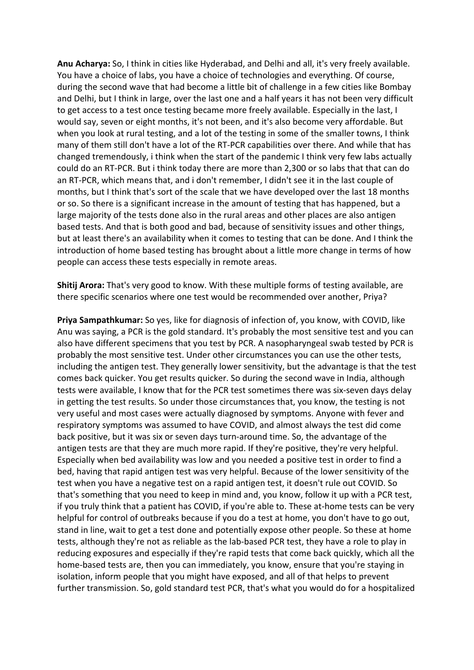**Anu Acharya:** So, I think in cities like Hyderabad, and Delhi and all, it's very freely available. You have a choice of labs, you have a choice of technologies and everything. Of course, during the second wave that had become a little bit of challenge in a few cities like Bombay and Delhi, but I think in large, over the last one and a half years it has not been very difficult to get access to a test once testing became more freely available. Especially in the last, I would say, seven or eight months, it's not been, and it's also become very affordable. But when you look at rural testing, and a lot of the testing in some of the smaller towns, I think many of them still don't have a lot of the RT-PCR capabilities over there. And while that has changed tremendously, i think when the start of the pandemic I think very few labs actually could do an RT-PCR. But i think today there are more than 2,300 or so labs that that can do an RT-PCR, which means that, and i don't remember, I didn't see it in the last couple of months, but I think that's sort of the scale that we have developed over the last 18 months or so. So there is a significant increase in the amount of testing that has happened, but a large majority of the tests done also in the rural areas and other places are also antigen based tests. And that is both good and bad, because of sensitivity issues and other things, but at least there's an availability when it comes to testing that can be done. And I think the introduction of home based testing has brought about a little more change in terms of how people can access these tests especially in remote areas.

**Shitij Arora:** That's very good to know. With these multiple forms of testing available, are there specific scenarios where one test would be recommended over another, Priya?

**Priya Sampathkumar:** So yes, like for diagnosis of infection of, you know, with COVID, like Anu was saying, a PCR is the gold standard. It's probably the most sensitive test and you can also have different specimens that you test by PCR. A nasopharyngeal swab tested by PCR is probably the most sensitive test. Under other circumstances you can use the other tests, including the antigen test. They generally lower sensitivity, but the advantage is that the test comes back quicker. You get results quicker. So during the second wave in India, although tests were available, I know that for the PCR test sometimes there was six-seven days delay in getting the test results. So under those circumstances that, you know, the testing is not very useful and most cases were actually diagnosed by symptoms. Anyone with fever and respiratory symptoms was assumed to have COVID, and almost always the test did come back positive, but it was six or seven days turn-around time. So, the advantage of the antigen tests are that they are much more rapid. If they're positive, they're very helpful. Especially when bed availability was low and you needed a positive test in order to find a bed, having that rapid antigen test was very helpful. Because of the lower sensitivity of the test when you have a negative test on a rapid antigen test, it doesn't rule out COVID. So that's something that you need to keep in mind and, you know, follow it up with a PCR test, if you truly think that a patient has COVID, if you're able to. These at-home tests can be very helpful for control of outbreaks because if you do a test at home, you don't have to go out, stand in line, wait to get a test done and potentially expose other people. So these at home tests, although they're not as reliable as the lab-based PCR test, they have a role to play in reducing exposures and especially if they're rapid tests that come back quickly, which all the home-based tests are, then you can immediately, you know, ensure that you're staying in isolation, inform people that you might have exposed, and all of that helps to prevent further transmission. So, gold standard test PCR, that's what you would do for a hospitalized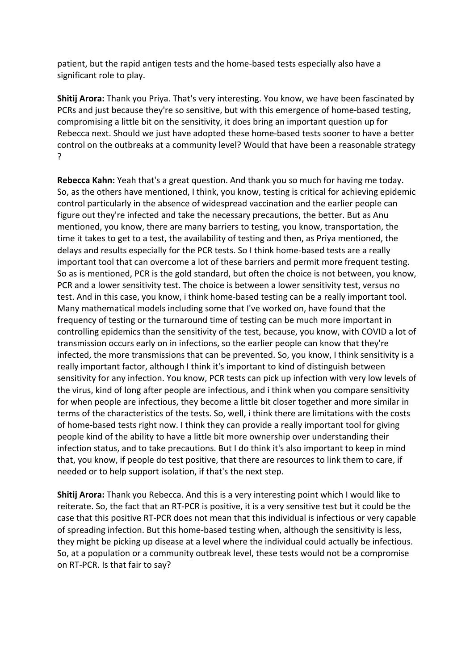patient, but the rapid antigen tests and the home-based tests especially also have a significant role to play.

**Shitij Arora:** Thank you Priya. That's very interesting. You know, we have been fascinated by PCRs and just because they're so sensitive, but with this emergence of home-based testing, compromising a little bit on the sensitivity, it does bring an important question up for Rebecca next. Should we just have adopted these home-based tests sooner to have a better control on the outbreaks at a community level? Would that have been a reasonable strategy ?

**Rebecca Kahn:** Yeah that's a great question. And thank you so much for having me today. So, as the others have mentioned, I think, you know, testing is critical for achieving epidemic control particularly in the absence of widespread vaccination and the earlier people can figure out they're infected and take the necessary precautions, the better. But as Anu mentioned, you know, there are many barriers to testing, you know, transportation, the time it takes to get to a test, the availability of testing and then, as Priya mentioned, the delays and results especially for the PCR tests. So I think home-based tests are a really important tool that can overcome a lot of these barriers and permit more frequent testing. So as is mentioned, PCR is the gold standard, but often the choice is not between, you know, PCR and a lower sensitivity test. The choice is between a lower sensitivity test, versus no test. And in this case, you know, i think home-based testing can be a really important tool. Many mathematical models including some that I've worked on, have found that the frequency of testing or the turnaround time of testing can be much more important in controlling epidemics than the sensitivity of the test, because, you know, with COVID a lot of transmission occurs early on in infections, so the earlier people can know that they're infected, the more transmissions that can be prevented. So, you know, I think sensitivity is a really important factor, although I think it's important to kind of distinguish between sensitivity for any infection. You know, PCR tests can pick up infection with very low levels of the virus, kind of long after people are infectious, and i think when you compare sensitivity for when people are infectious, they become a little bit closer together and more similar in terms of the characteristics of the tests. So, well, i think there are limitations with the costs of home-based tests right now. I think they can provide a really important tool for giving people kind of the ability to have a little bit more ownership over understanding their infection status, and to take precautions. But I do think it's also important to keep in mind that, you know, if people do test positive, that there are resources to link them to care, if needed or to help support isolation, if that's the next step.

**Shitij Arora:** Thank you Rebecca. And this is a very interesting point which I would like to reiterate. So, the fact that an RT-PCR is positive, it is a very sensitive test but it could be the case that this positive RT-PCR does not mean that this individual is infectious or very capable of spreading infection. But this home-based testing when, although the sensitivity is less, they might be picking up disease at a level where the individual could actually be infectious. So, at a population or a community outbreak level, these tests would not be a compromise on RT-PCR. Is that fair to say?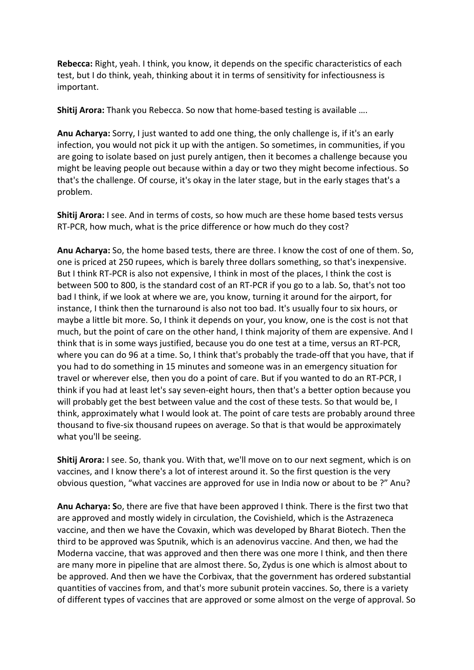**Rebecca:** Right, yeah. I think, you know, it depends on the specific characteristics of each test, but I do think, yeah, thinking about it in terms of sensitivity for infectiousness is important.

**Shitij Arora:** Thank you Rebecca. So now that home-based testing is available ….

**Anu Acharya:** Sorry, I just wanted to add one thing, the only challenge is, if it's an early infection, you would not pick it up with the antigen. So sometimes, in communities, if you are going to isolate based on just purely antigen, then it becomes a challenge because you might be leaving people out because within a day or two they might become infectious. So that's the challenge. Of course, it's okay in the later stage, but in the early stages that's a problem.

**Shitij Arora:** I see. And in terms of costs, so how much are these home based tests versus RT-PCR, how much, what is the price difference or how much do they cost?

**Anu Acharya:** So, the home based tests, there are three. I know the cost of one of them. So, one is priced at 250 rupees, which is barely three dollars something, so that's inexpensive. But I think RT-PCR is also not expensive, I think in most of the places, I think the cost is between 500 to 800, is the standard cost of an RT-PCR if you go to a lab. So, that's not too bad I think, if we look at where we are, you know, turning it around for the airport, for instance, I think then the turnaround is also not too bad. It's usually four to six hours, or maybe a little bit more. So, I think it depends on your, you know, one is the cost is not that much, but the point of care on the other hand, I think majority of them are expensive. And I think that is in some ways justified, because you do one test at a time, versus an RT-PCR, where you can do 96 at a time. So, I think that's probably the trade-off that you have, that if you had to do something in 15 minutes and someone was in an emergency situation for travel or wherever else, then you do a point of care. But if you wanted to do an RT-PCR, I think if you had at least let's say seven-eight hours, then that's a better option because you will probably get the best between value and the cost of these tests. So that would be, I think, approximately what I would look at. The point of care tests are probably around three thousand to five-six thousand rupees on average. So that is that would be approximately what you'll be seeing.

**Shitij Arora:** I see. So, thank you. With that, we'll move on to our next segment, which is on vaccines, and I know there's a lot of interest around it. So the first question is the very obvious question, "what vaccines are approved for use in India now or about to be ?" Anu?

**Anu Acharya: S**o, there are five that have been approved I think. There is the first two that are approved and mostly widely in circulation, the Covishield, which is the Astrazeneca vaccine, and then we have the Covaxin, which was developed by Bharat Biotech. Then the third to be approved was Sputnik, which is an adenovirus vaccine. And then, we had the Moderna vaccine, that was approved and then there was one more I think, and then there are many more in pipeline that are almost there. So, Zydus is one which is almost about to be approved. And then we have the Corbivax, that the government has ordered substantial quantities of vaccines from, and that's more subunit protein vaccines. So, there is a variety of different types of vaccines that are approved or some almost on the verge of approval. So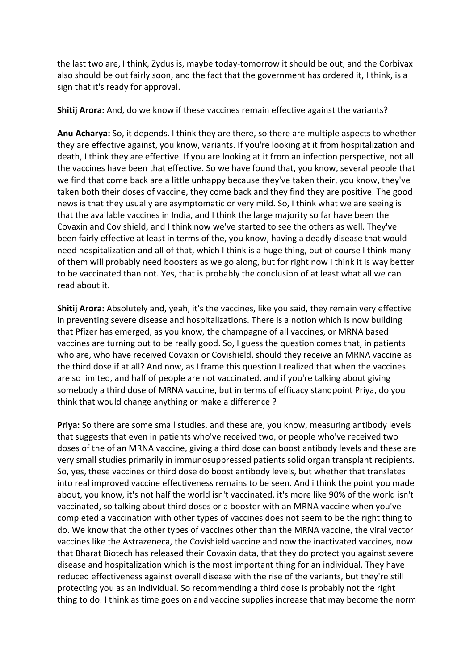the last two are, I think, Zydus is, maybe today-tomorrow it should be out, and the Corbivax also should be out fairly soon, and the fact that the government has ordered it, I think, is a sign that it's ready for approval.

**Shitij Arora:** And, do we know if these vaccines remain effective against the variants?

**Anu Acharya:** So, it depends. I think they are there, so there are multiple aspects to whether they are effective against, you know, variants. If you're looking at it from hospitalization and death, I think they are effective. If you are looking at it from an infection perspective, not all the vaccines have been that effective. So we have found that, you know, several people that we find that come back are a little unhappy because they've taken their, you know, they've taken both their doses of vaccine, they come back and they find they are positive. The good news is that they usually are asymptomatic or very mild. So, I think what we are seeing is that the available vaccines in India, and I think the large majority so far have been the Covaxin and Covishield, and I think now we've started to see the others as well. They've been fairly effective at least in terms of the, you know, having a deadly disease that would need hospitalization and all of that, which I think is a huge thing, but of course I think many of them will probably need boosters as we go along, but for right now I think it is way better to be vaccinated than not. Yes, that is probably the conclusion of at least what all we can read about it.

**Shitij Arora:** Absolutely and, yeah, it's the vaccines, like you said, they remain very effective in preventing severe disease and hospitalizations. There is a notion which is now building that Pfizer has emerged, as you know, the champagne of all vaccines, or MRNA based vaccines are turning out to be really good. So, I guess the question comes that, in patients who are, who have received Covaxin or Covishield, should they receive an MRNA vaccine as the third dose if at all? And now, as I frame this question I realized that when the vaccines are so limited, and half of people are not vaccinated, and if you're talking about giving somebody a third dose of MRNA vaccine, but in terms of efficacy standpoint Priya, do you think that would change anything or make a difference ?

**Priya:** So there are some small studies, and these are, you know, measuring antibody levels that suggests that even in patients who've received two, or people who've received two doses of the of an MRNA vaccine, giving a third dose can boost antibody levels and these are very small studies primarily in immunosuppressed patients solid organ transplant recipients. So, yes, these vaccines or third dose do boost antibody levels, but whether that translates into real improved vaccine effectiveness remains to be seen. And i think the point you made about, you know, it's not half the world isn't vaccinated, it's more like 90% of the world isn't vaccinated, so talking about third doses or a booster with an MRNA vaccine when you've completed a vaccination with other types of vaccines does not seem to be the right thing to do. We know that the other types of vaccines other than the MRNA vaccine, the viral vector vaccines like the Astrazeneca, the Covishield vaccine and now the inactivated vaccines, now that Bharat Biotech has released their Covaxin data, that they do protect you against severe disease and hospitalization which is the most important thing for an individual. They have reduced effectiveness against overall disease with the rise of the variants, but they're still protecting you as an individual. So recommending a third dose is probably not the right thing to do. I think as time goes on and vaccine supplies increase that may become the norm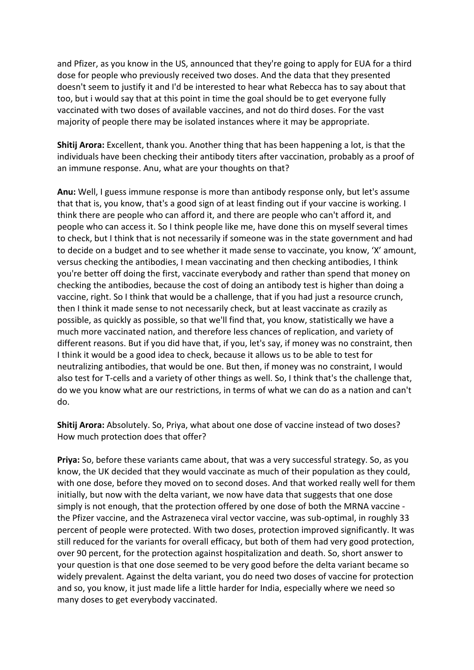and Pfizer, as you know in the US, announced that they're going to apply for EUA for a third dose for people who previously received two doses. And the data that they presented doesn't seem to justify it and I'd be interested to hear what Rebecca has to say about that too, but i would say that at this point in time the goal should be to get everyone fully vaccinated with two doses of available vaccines, and not do third doses. For the vast majority of people there may be isolated instances where it may be appropriate.

**Shitij Arora:** Excellent, thank you. Another thing that has been happening a lot, is that the individuals have been checking their antibody titers after vaccination, probably as a proof of an immune response. Anu, what are your thoughts on that?

**Anu:** Well, I guess immune response is more than antibody response only, but let's assume that that is, you know, that's a good sign of at least finding out if your vaccine is working. I think there are people who can afford it, and there are people who can't afford it, and people who can access it. So I think people like me, have done this on myself several times to check, but I think that is not necessarily if someone was in the state government and had to decide on a budget and to see whether it made sense to vaccinate, you know, 'X' amount, versus checking the antibodies, I mean vaccinating and then checking antibodies, I think you're better off doing the first, vaccinate everybody and rather than spend that money on checking the antibodies, because the cost of doing an antibody test is higher than doing a vaccine, right. So I think that would be a challenge, that if you had just a resource crunch, then I think it made sense to not necessarily check, but at least vaccinate as crazily as possible, as quickly as possible, so that we'll find that, you know, statistically we have a much more vaccinated nation, and therefore less chances of replication, and variety of different reasons. But if you did have that, if you, let's say, if money was no constraint, then I think it would be a good idea to check, because it allows us to be able to test for neutralizing antibodies, that would be one. But then, if money was no constraint, I would also test for T-cells and a variety of other things as well. So, I think that's the challenge that, do we you know what are our restrictions, in terms of what we can do as a nation and can't do.

**Shitij Arora:** Absolutely. So, Priya, what about one dose of vaccine instead of two doses? How much protection does that offer?

**Priya:** So, before these variants came about, that was a very successful strategy. So, as you know, the UK decided that they would vaccinate as much of their population as they could, with one dose, before they moved on to second doses. And that worked really well for them initially, but now with the delta variant, we now have data that suggests that one dose simply is not enough, that the protection offered by one dose of both the MRNA vaccine the Pfizer vaccine, and the Astrazeneca viral vector vaccine, was sub-optimal, in roughly 33 percent of people were protected. With two doses, protection improved significantly. It was still reduced for the variants for overall efficacy, but both of them had very good protection, over 90 percent, for the protection against hospitalization and death. So, short answer to your question is that one dose seemed to be very good before the delta variant became so widely prevalent. Against the delta variant, you do need two doses of vaccine for protection and so, you know, it just made life a little harder for India, especially where we need so many doses to get everybody vaccinated.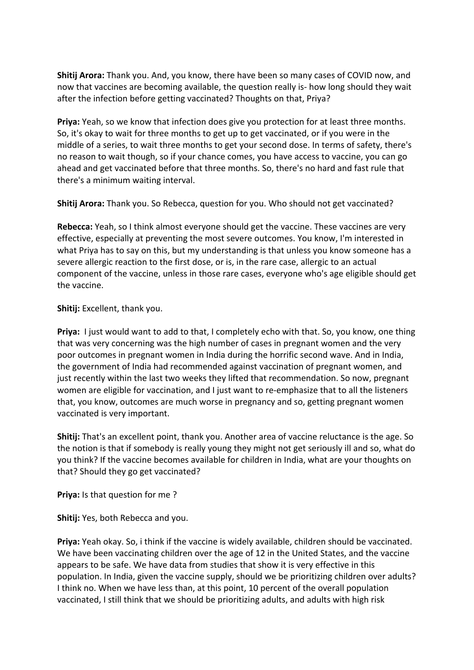**Shitij Arora:** Thank you. And, you know, there have been so many cases of COVID now, and now that vaccines are becoming available, the question really is- how long should they wait after the infection before getting vaccinated? Thoughts on that, Priya?

**Priya:** Yeah, so we know that infection does give you protection for at least three months. So, it's okay to wait for three months to get up to get vaccinated, or if you were in the middle of a series, to wait three months to get your second dose. In terms of safety, there's no reason to wait though, so if your chance comes, you have access to vaccine, you can go ahead and get vaccinated before that three months. So, there's no hard and fast rule that there's a minimum waiting interval.

**Shitij Arora:** Thank you. So Rebecca, question for you. Who should not get vaccinated?

**Rebecca:** Yeah, so I think almost everyone should get the vaccine. These vaccines are very effective, especially at preventing the most severe outcomes. You know, I'm interested in what Priya has to say on this, but my understanding is that unless you know someone has a severe allergic reaction to the first dose, or is, in the rare case, allergic to an actual component of the vaccine, unless in those rare cases, everyone who's age eligible should get the vaccine.

## **Shitij:** Excellent, thank you.

**Priya:** I just would want to add to that, I completely echo with that. So, you know, one thing that was very concerning was the high number of cases in pregnant women and the very poor outcomes in pregnant women in India during the horrific second wave. And in India, the government of India had recommended against vaccination of pregnant women, and just recently within the last two weeks they lifted that recommendation. So now, pregnant women are eligible for vaccination, and I just want to re-emphasize that to all the listeners that, you know, outcomes are much worse in pregnancy and so, getting pregnant women vaccinated is very important.

**Shitij:** That's an excellent point, thank you. Another area of vaccine reluctance is the age. So the notion is that if somebody is really young they might not get seriously ill and so, what do you think? If the vaccine becomes available for children in India, what are your thoughts on that? Should they go get vaccinated?

**Priya:** Is that question for me ?

**Shitij:** Yes, both Rebecca and you.

**Priya:** Yeah okay. So, i think if the vaccine is widely available, children should be vaccinated. We have been vaccinating children over the age of 12 in the United States, and the vaccine appears to be safe. We have data from studies that show it is very effective in this population. In India, given the vaccine supply, should we be prioritizing children over adults? I think no. When we have less than, at this point, 10 percent of the overall population vaccinated, I still think that we should be prioritizing adults, and adults with high risk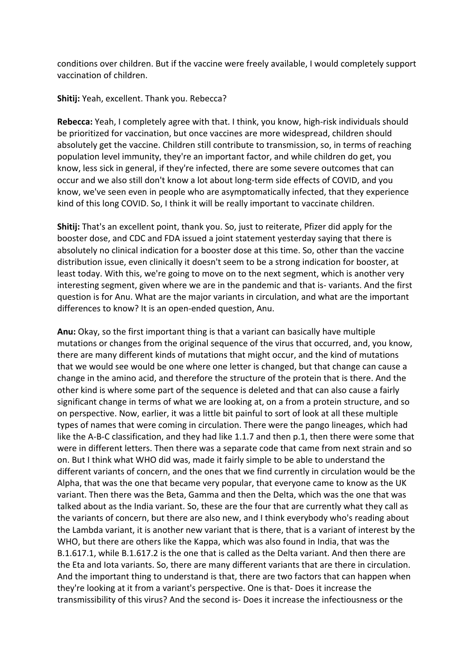conditions over children. But if the vaccine were freely available, I would completely support vaccination of children.

#### **Shitij:** Yeah, excellent. Thank you. Rebecca?

**Rebecca:** Yeah, I completely agree with that. I think, you know, high-risk individuals should be prioritized for vaccination, but once vaccines are more widespread, children should absolutely get the vaccine. Children still contribute to transmission, so, in terms of reaching population level immunity, they're an important factor, and while children do get, you know, less sick in general, if they're infected, there are some severe outcomes that can occur and we also still don't know a lot about long-term side effects of COVID, and you know, we've seen even in people who are asymptomatically infected, that they experience kind of this long COVID. So, I think it will be really important to vaccinate children.

**Shitij:** That's an excellent point, thank you. So, just to reiterate, Pfizer did apply for the booster dose, and CDC and FDA issued a joint statement yesterday saying that there is absolutely no clinical indication for a booster dose at this time. So, other than the vaccine distribution issue, even clinically it doesn't seem to be a strong indication for booster, at least today. With this, we're going to move on to the next segment, which is another very interesting segment, given where we are in the pandemic and that is- variants. And the first question is for Anu. What are the major variants in circulation, and what are the important differences to know? It is an open-ended question, Anu.

**Anu:** Okay, so the first important thing is that a variant can basically have multiple mutations or changes from the original sequence of the virus that occurred, and, you know, there are many different kinds of mutations that might occur, and the kind of mutations that we would see would be one where one letter is changed, but that change can cause a change in the amino acid, and therefore the structure of the protein that is there. And the other kind is where some part of the sequence is deleted and that can also cause a fairly significant change in terms of what we are looking at, on a from a protein structure, and so on perspective. Now, earlier, it was a little bit painful to sort of look at all these multiple types of names that were coming in circulation. There were the pango lineages, which had like the A-B-C classification, and they had like 1.1.7 and then p.1, then there were some that were in different letters. Then there was a separate code that came from next strain and so on. But I think what WHO did was, made it fairly simple to be able to understand the different variants of concern, and the ones that we find currently in circulation would be the Alpha, that was the one that became very popular, that everyone came to know as the UK variant. Then there was the Beta, Gamma and then the Delta, which was the one that was talked about as the India variant. So, these are the four that are currently what they call as the variants of concern, but there are also new, and I think everybody who's reading about the Lambda variant, it is another new variant that is there, that is a variant of interest by the WHO, but there are others like the Kappa, which was also found in India, that was the B.1.617.1, while B.1.617.2 is the one that is called as the Delta variant. And then there are the Eta and Iota variants. So, there are many different variants that are there in circulation. And the important thing to understand is that, there are two factors that can happen when they're looking at it from a variant's perspective. One is that- Does it increase the transmissibility of this virus? And the second is- Does it increase the infectiousness or the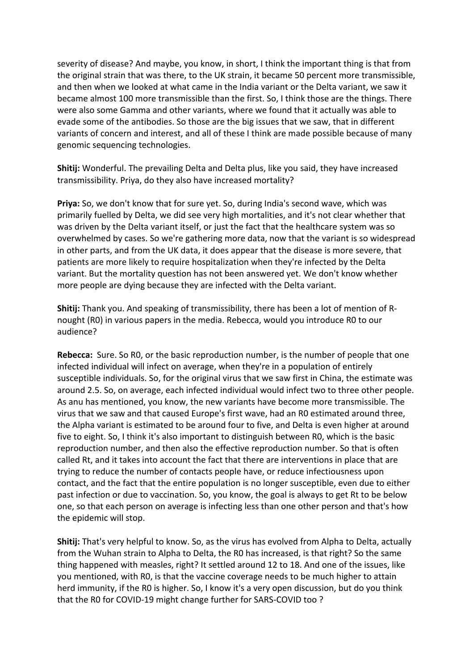severity of disease? And maybe, you know, in short, I think the important thing is that from the original strain that was there, to the UK strain, it became 50 percent more transmissible, and then when we looked at what came in the India variant or the Delta variant, we saw it became almost 100 more transmissible than the first. So, I think those are the things. There were also some Gamma and other variants, where we found that it actually was able to evade some of the antibodies. So those are the big issues that we saw, that in different variants of concern and interest, and all of these I think are made possible because of many genomic sequencing technologies.

**Shitij:** Wonderful. The prevailing Delta and Delta plus, like you said, they have increased transmissibility. Priya, do they also have increased mortality?

**Priya:** So, we don't know that for sure yet. So, during India's second wave, which was primarily fuelled by Delta, we did see very high mortalities, and it's not clear whether that was driven by the Delta variant itself, or just the fact that the healthcare system was so overwhelmed by cases. So we're gathering more data, now that the variant is so widespread in other parts, and from the UK data, it does appear that the disease is more severe, that patients are more likely to require hospitalization when they're infected by the Delta variant. But the mortality question has not been answered yet. We don't know whether more people are dying because they are infected with the Delta variant.

**Shitij:** Thank you. And speaking of transmissibility, there has been a lot of mention of Rnought (R0) in various papers in the media. Rebecca, would you introduce R0 to our audience?

**Rebecca:** Sure. So R0, or the basic reproduction number, is the number of people that one infected individual will infect on average, when they're in a population of entirely susceptible individuals. So, for the original virus that we saw first in China, the estimate was around 2.5. So, on average, each infected individual would infect two to three other people. As anu has mentioned, you know, the new variants have become more transmissible. The virus that we saw and that caused Europe's first wave, had an R0 estimated around three, the Alpha variant is estimated to be around four to five, and Delta is even higher at around five to eight. So, I think it's also important to distinguish between R0, which is the basic reproduction number, and then also the effective reproduction number. So that is often called Rt, and it takes into account the fact that there are interventions in place that are trying to reduce the number of contacts people have, or reduce infectiousness upon contact, and the fact that the entire population is no longer susceptible, even due to either past infection or due to vaccination. So, you know, the goal is always to get Rt to be below one, so that each person on average is infecting less than one other person and that's how the epidemic will stop.

**Shitij:** That's very helpful to know. So, as the virus has evolved from Alpha to Delta, actually from the Wuhan strain to Alpha to Delta, the R0 has increased, is that right? So the same thing happened with measles, right? It settled around 12 to 18. And one of the issues, like you mentioned, with R0, is that the vaccine coverage needs to be much higher to attain herd immunity, if the R0 is higher. So, I know it's a very open discussion, but do you think that the R0 for COVID-19 might change further for SARS-COVID too ?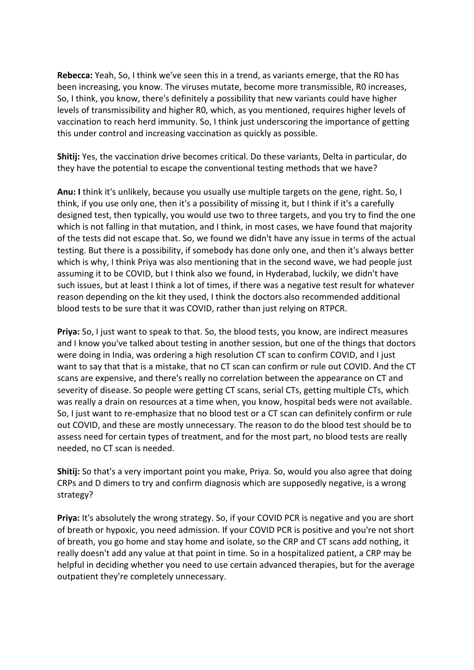**Rebecca:** Yeah, So, I think we've seen this in a trend, as variants emerge, that the R0 has been increasing, you know. The viruses mutate, become more transmissible, R0 increases, So, I think, you know, there's definitely a possibility that new variants could have higher levels of transmissibility and higher R0, which, as you mentioned, requires higher levels of vaccination to reach herd immunity. So, I think just underscoring the importance of getting this under control and increasing vaccination as quickly as possible.

**Shitij:** Yes, the vaccination drive becomes critical. Do these variants, Delta in particular, do they have the potential to escape the conventional testing methods that we have?

**Anu: I** think it's unlikely, because you usually use multiple targets on the gene, right. So, I think, if you use only one, then it's a possibility of missing it, but I think if it's a carefully designed test, then typically, you would use two to three targets, and you try to find the one which is not falling in that mutation, and I think, in most cases, we have found that majority of the tests did not escape that. So, we found we didn't have any issue in terms of the actual testing. But there is a possibility, if somebody has done only one, and then it's always better which is why, I think Priya was also mentioning that in the second wave, we had people just assuming it to be COVID, but I think also we found, in Hyderabad, luckily, we didn't have such issues, but at least I think a lot of times, if there was a negative test result for whatever reason depending on the kit they used, I think the doctors also recommended additional blood tests to be sure that it was COVID, rather than just relying on RTPCR.

**Priya:** So, I just want to speak to that. So, the blood tests, you know, are indirect measures and I know you've talked about testing in another session, but one of the things that doctors were doing in India, was ordering a high resolution CT scan to confirm COVID, and I just want to say that that is a mistake, that no CT scan can confirm or rule out COVID. And the CT scans are expensive, and there's really no correlation between the appearance on CT and severity of disease. So people were getting CT scans, serial CTs, getting multiple CTs, which was really a drain on resources at a time when, you know, hospital beds were not available. So, I just want to re-emphasize that no blood test or a CT scan can definitely confirm or rule out COVID, and these are mostly unnecessary. The reason to do the blood test should be to assess need for certain types of treatment, and for the most part, no blood tests are really needed, no CT scan is needed.

**Shitij:** So that's a very important point you make, Priya. So, would you also agree that doing CRPs and D dimers to try and confirm diagnosis which are supposedly negative, is a wrong strategy?

**Priya:** It's absolutely the wrong strategy. So, if your COVID PCR is negative and you are short of breath or hypoxic, you need admission. If your COVID PCR is positive and you're not short of breath, you go home and stay home and isolate, so the CRP and CT scans add nothing, it really doesn't add any value at that point in time. So in a hospitalized patient, a CRP may be helpful in deciding whether you need to use certain advanced therapies, but for the average outpatient they're completely unnecessary.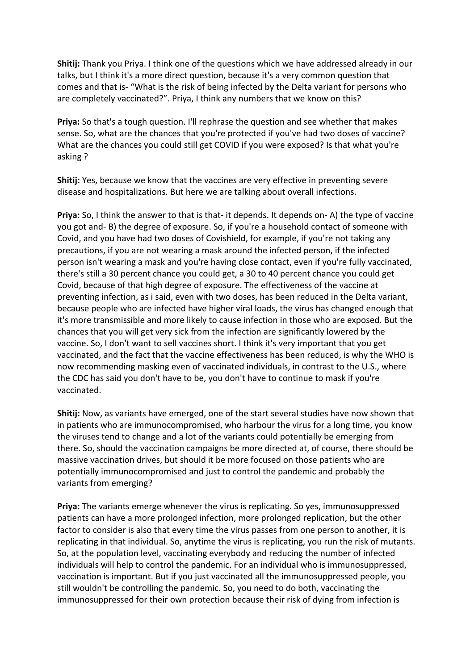**Shitij:** Thank you Priya. I think one of the questions which we have addressed already in our talks, but I think it's a more direct question, because it's a very common question that comes and that is- "What is the risk of being infected by the Delta variant for persons who are completely vaccinated?". Priya, I think any numbers that we know on this?

**Priya:** So that's a tough question. I'll rephrase the question and see whether that makes sense. So, what are the chances that you're protected if you've had two doses of vaccine? What are the chances you could still get COVID if you were exposed? Is that what you're asking ?

**Shitij:** Yes, because we know that the vaccines are very effective in preventing severe disease and hospitalizations. But here we are talking about overall infections.

**Priya:** So, I think the answer to that is that- it depends. It depends on- A) the type of vaccine you got and- B) the degree of exposure. So, if you're a household contact of someone with Covid, and you have had two doses of Covishield, for example, if you're not taking any precautions, if you are not wearing a mask around the infected person, if the infected person isn't wearing a mask and you're having close contact, even if you're fully vaccinated, there's still a 30 percent chance you could get, a 30 to 40 percent chance you could get Covid, because of that high degree of exposure. The effectiveness of the vaccine at preventing infection, as i said, even with two doses, has been reduced in the Delta variant, because people who are infected have higher viral loads, the virus has changed enough that it's more transmissible and more likely to cause infection in those who are exposed. But the chances that you will get very sick from the infection are significantly lowered by the vaccine. So, I don't want to sell vaccines short. I think it's very important that you get vaccinated, and the fact that the vaccine effectiveness has been reduced, is why the WHO is now recommending masking even of vaccinated individuals, in contrast to the U.S., where the CDC has said you don't have to be, you don't have to continue to mask if you're vaccinated.

**Shitij:** Now, as variants have emerged, one of the start several studies have now shown that in patients who are immunocompromised, who harbour the virus for a long time, you know the viruses tend to change and a lot of the variants could potentially be emerging from there. So, should the vaccination campaigns be more directed at, of course, there should be massive vaccination drives, but should it be more focused on those patients who are potentially immunocompromised and just to control the pandemic and probably the variants from emerging?

**Priya:** The variants emerge whenever the virus is replicating. So yes, immunosuppressed patients can have a more prolonged infection, more prolonged replication, but the other factor to consider is also that every time the virus passes from one person to another, it is replicating in that individual. So, anytime the virus is replicating, you run the risk of mutants. So, at the population level, vaccinating everybody and reducing the number of infected individuals will help to control the pandemic. For an individual who is immunosuppressed, vaccination is important. But if you just vaccinated all the immunosuppressed people, you still wouldn't be controlling the pandemic. So, you need to do both, vaccinating the immunosuppressed for their own protection because their risk of dying from infection is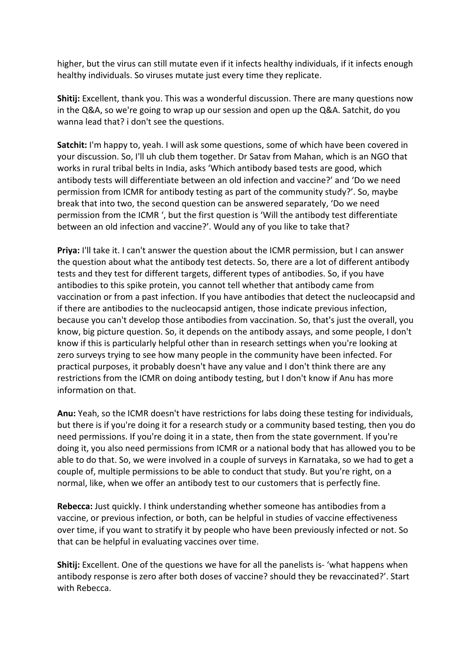higher, but the virus can still mutate even if it infects healthy individuals, if it infects enough healthy individuals. So viruses mutate just every time they replicate.

**Shitij:** Excellent, thank you. This was a wonderful discussion. There are many questions now in the Q&A, so we're going to wrap up our session and open up the Q&A. Satchit, do you wanna lead that? i don't see the questions.

**Satchit:** I'm happy to, yeah. I will ask some questions, some of which have been covered in your discussion. So, I'll uh club them together. Dr Satav from Mahan, which is an NGO that works in rural tribal belts in India, asks 'Which antibody based tests are good, which antibody tests will differentiate between an old infection and vaccine?' and 'Do we need permission from ICMR for antibody testing as part of the community study?'. So, maybe break that into two, the second question can be answered separately, 'Do we need permission from the ICMR ', but the first question is 'Will the antibody test differentiate between an old infection and vaccine?'. Would any of you like to take that?

**Priya:** I'll take it. I can't answer the question about the ICMR permission, but I can answer the question about what the antibody test detects. So, there are a lot of different antibody tests and they test for different targets, different types of antibodies. So, if you have antibodies to this spike protein, you cannot tell whether that antibody came from vaccination or from a past infection. If you have antibodies that detect the nucleocapsid and if there are antibodies to the nucleocapsid antigen, those indicate previous infection, because you can't develop those antibodies from vaccination. So, that's just the overall, you know, big picture question. So, it depends on the antibody assays, and some people, I don't know if this is particularly helpful other than in research settings when you're looking at zero surveys trying to see how many people in the community have been infected. For practical purposes, it probably doesn't have any value and I don't think there are any restrictions from the ICMR on doing antibody testing, but I don't know if Anu has more information on that.

**Anu:** Yeah, so the ICMR doesn't have restrictions for labs doing these testing for individuals, but there is if you're doing it for a research study or a community based testing, then you do need permissions. If you're doing it in a state, then from the state government. If you're doing it, you also need permissions from ICMR or a national body that has allowed you to be able to do that. So, we were involved in a couple of surveys in Karnataka, so we had to get a couple of, multiple permissions to be able to conduct that study. But you're right, on a normal, like, when we offer an antibody test to our customers that is perfectly fine.

**Rebecca:** Just quickly. I think understanding whether someone has antibodies from a vaccine, or previous infection, or both, can be helpful in studies of vaccine effectiveness over time, if you want to stratify it by people who have been previously infected or not. So that can be helpful in evaluating vaccines over time.

**Shitij:** Excellent. One of the questions we have for all the panelists is- 'what happens when antibody response is zero after both doses of vaccine? should they be revaccinated?'. Start with Rebecca.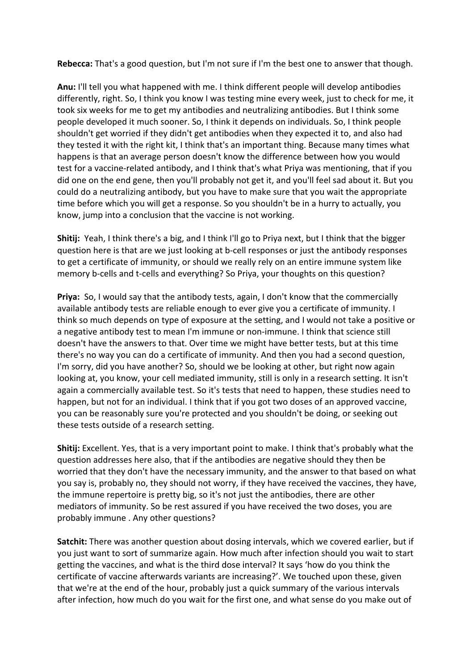**Rebecca:** That's a good question, but I'm not sure if I'm the best one to answer that though.

**Anu:** I'll tell you what happened with me. I think different people will develop antibodies differently, right. So, I think you know I was testing mine every week, just to check for me, it took six weeks for me to get my antibodies and neutralizing antibodies. But I think some people developed it much sooner. So, I think it depends on individuals. So, I think people shouldn't get worried if they didn't get antibodies when they expected it to, and also had they tested it with the right kit, I think that's an important thing. Because many times what happens is that an average person doesn't know the difference between how you would test for a vaccine-related antibody, and I think that's what Priya was mentioning, that if you did one on the end gene, then you'll probably not get it, and you'll feel sad about it. But you could do a neutralizing antibody, but you have to make sure that you wait the appropriate time before which you will get a response. So you shouldn't be in a hurry to actually, you know, jump into a conclusion that the vaccine is not working.

**Shitij:** Yeah, I think there's a big, and I think I'll go to Priya next, but I think that the bigger question here is that are we just looking at b-cell responses or just the antibody responses to get a certificate of immunity, or should we really rely on an entire immune system like memory b-cells and t-cells and everything? So Priya, your thoughts on this question?

**Priya:** So, I would say that the antibody tests, again, I don't know that the commercially available antibody tests are reliable enough to ever give you a certificate of immunity. I think so much depends on type of exposure at the setting, and I would not take a positive or a negative antibody test to mean I'm immune or non-immune. I think that science still doesn't have the answers to that. Over time we might have better tests, but at this time there's no way you can do a certificate of immunity. And then you had a second question, I'm sorry, did you have another? So, should we be looking at other, but right now again looking at, you know, your cell mediated immunity, still is only in a research setting. It isn't again a commercially available test. So it's tests that need to happen, these studies need to happen, but not for an individual. I think that if you got two doses of an approved vaccine, you can be reasonably sure you're protected and you shouldn't be doing, or seeking out these tests outside of a research setting.

**Shitij:** Excellent. Yes, that is a very important point to make. I think that's probably what the question addresses here also, that if the antibodies are negative should they then be worried that they don't have the necessary immunity, and the answer to that based on what you say is, probably no, they should not worry, if they have received the vaccines, they have, the immune repertoire is pretty big, so it's not just the antibodies, there are other mediators of immunity. So be rest assured if you have received the two doses, you are probably immune . Any other questions?

**Satchit:** There was another question about dosing intervals, which we covered earlier, but if you just want to sort of summarize again. How much after infection should you wait to start getting the vaccines, and what is the third dose interval? It says 'how do you think the certificate of vaccine afterwards variants are increasing?'. We touched upon these, given that we're at the end of the hour, probably just a quick summary of the various intervals after infection, how much do you wait for the first one, and what sense do you make out of